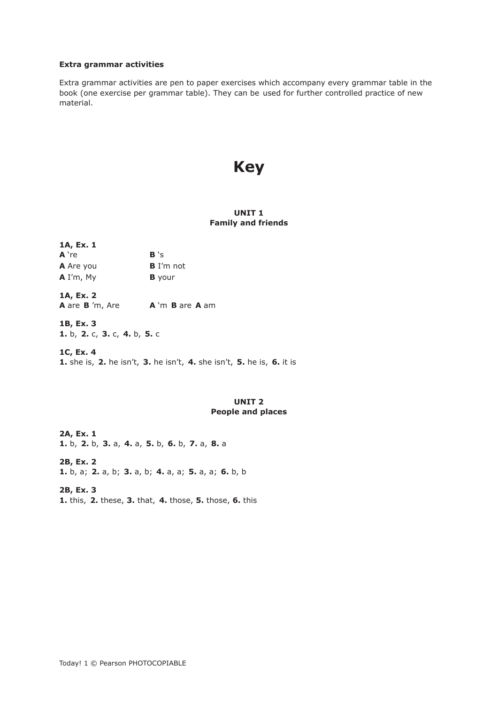#### **Extra grammar activities**

Extra grammar activities are pen to paper exercises which accompany every grammar table in the book (one exercise per grammar table). They can be used for further controlled practice of new material.

# **Key**

## **UNIT 1 Family and friends**

| 1A, Ex. 1        |               |
|------------------|---------------|
| A 're            | B's           |
| <b>A</b> Are you | $B$ I'm not   |
| $A$ I'm, My      | <b>B</b> your |
|                  |               |

**1A, Ex. 2 A** are **B** 'm, Are **A** 'm **B** are **A** am

**1B, Ex. 3 1.** b, **2.** c, **3.** c, **4.** b, **5.** c

**1C, Ex. 4 1.** she is, **2.** he isn't, **3.** he isn't, **4.** she isn't, **5.** he is, **6.** it is

# **UNIT 2 People and places**

**2A, Ex. 1 1.** b, **2.** b, **3.** a, **4.** a, **5.** b, **6.** b, **7.** a, **8.** a

**2B, Ex. 2 1.** b, a; **2.** a, b; **3.** a, b; **4.** a, a; **5.** a, a; **6.** b, b

**2B, Ex. 3 1.** this, **2.** these, **3.** that, **4.** those, **5.** those, **6.** this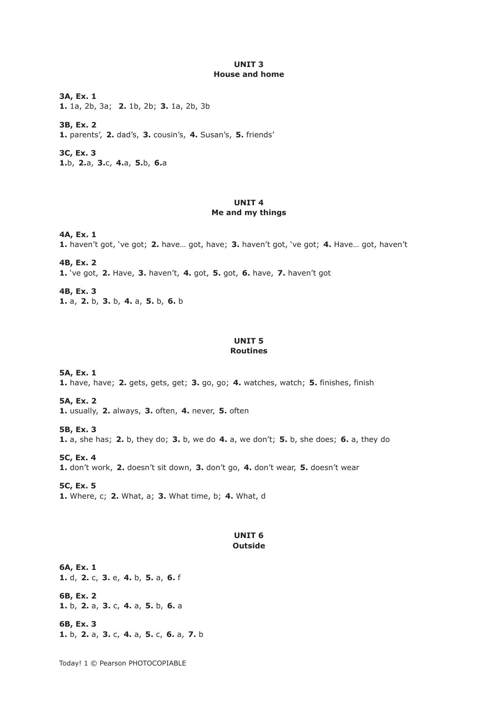#### **UNIT 3 House and home**

**3A, Ex. 1 1.** 1a, 2b, 3a; **2.** 1b, 2b; **3.** 1a, 2b, 3b

**3B, Ex. 2 1.** parents', **2.** dad's, **3.** cousin's, **4.** Susan's, **5.** friends'

**3C, Ex. 3 1.**b, **2.**a, **3.**c, **4.**a, **5.**b, **6.**a

## **UNIT 4 Me and my things**

**4A, Ex. 1 1.** haven't got, 've got; **2.** have… got, have; **3.** haven't got, 've got; **4.** Have… got, haven't

**4B, Ex. 2 1.** 've got, **2.** Have, **3.** haven't, **4.** got, **5.** got, **6.** have, **7.** haven't got

**4B, Ex. 3 1.** a, **2.** b, **3.** b, **4.** a, **5.** b, **6.** b

### **UNIT 5 Routines**

**5A, Ex. 1 1.** have, have; **2.** gets, gets, get; **3.** go, go; **4.** watches, watch; **5.** finishes, finish

**5A, Ex. 2 1.** usually, **2.** always, **3.** often, **4.** never, **5.** often

**5B, Ex. 3 1.** a, she has; **2.** b, they do; **3.** b, we do **4.** a, we don't; **5.** b, she does; **6.** a, they do

**5C, Ex. 4 1.** don't work, **2.** doesn't sit down, **3.** don't go, **4.** don't wear, **5.** doesn't wear

**5C, Ex. 5 1.** Where, c; **2.** What, a; **3.** What time, b; **4.** What, d

## **UNIT 6 Outside**

**6A, Ex. 1 1.** d, **2.** c, **3.** e, **4.** b, **5.** a, **6.** f

**6B, Ex. 2 1.** b, **2.** a, **3.** c, **4.** a, **5.** b, **6.** a

**6B, Ex. 3 1.** b, **2.** a, **3.** c, **4.** a, **5.** c, **6.** a, **7.** b